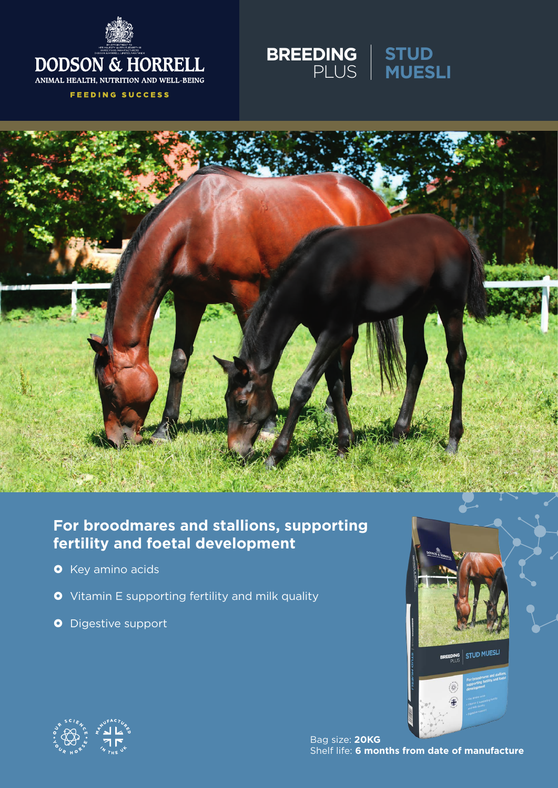

**FEEDING SUCCESS** 





# **For broodmares and stallions, supporting fertility and foetal development**

- **O** Key amino acids
- **•** Vitamin E supporting fertility and milk quality
- **O** Digestive support





Bag size: **20KG** Shelf life: **6 months from date of manufacture**